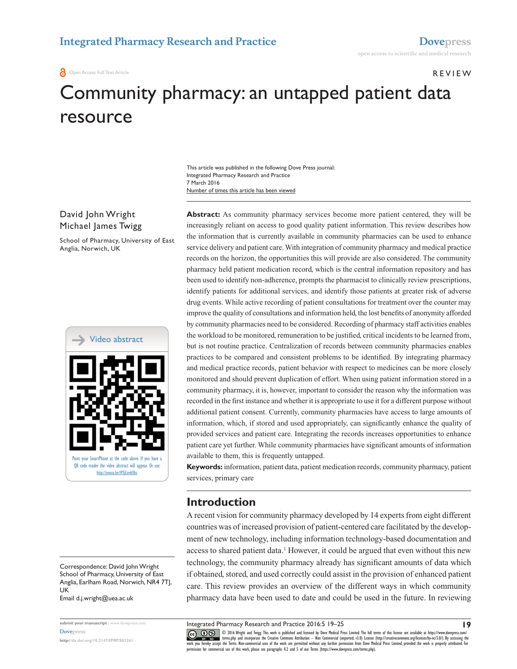**a** Open Access Full Text Article

#### Review

**19**

# Community pharmacy: an untapped patient data resource

Number of times this article has been viewed This article was published in the following Dove Press journal: Integrated Pharmacy Research and Practice 7 March 2016

#### David John Wright Michael James Twigg

School of Pharmacy, University of East Anglia, Norwich, UK



Correspondence: David John Wright School of Pharmacy, University of East Anglia, Earlham Road, Norwich, NR4 7TJ, UK Email [d.j.wright@uea.ac.uk](mailto:d.j.wright@uea.ac.uk)

**[Dovepress](www.dovepress.com) <http://dx.doi.org/10.2147/IPRP.S83261>** **Abstract:** As community pharmacy services become more patient centered, they will be increasingly reliant on access to good quality patient information. This review describes how the information that is currently available in community pharmacies can be used to enhance service delivery and patient care. With integration of community pharmacy and medical practice records on the horizon, the opportunities this will provide are also considered. The community pharmacy held patient medication record, which is the central information repository and has been used to identify non-adherence, prompts the pharmacist to clinically review prescriptions, identify patients for additional services, and identify those patients at greater risk of adverse drug events. While active recording of patient consultations for treatment over the counter may improve the quality of consultations and information held, the lost benefits of anonymity afforded by community pharmacies need to be considered. Recording of pharmacy staff activities enables the workload to be monitored, remuneration to be justified, critical incidents to be learned from, but is not routine practice. Centralization of records between community pharmacies enables practices to be compared and consistent problems to be identified. By integrating pharmacy and medical practice records, patient behavior with respect to medicines can be more closely monitored and should prevent duplication of effort. When using patient information stored in a community pharmacy, it is, however, important to consider the reason why the information was recorded in the first instance and whether it is appropriate to use it for a different purpose without additional patient consent. Currently, community pharmacies have access to large amounts of information, which, if stored and used appropriately, can significantly enhance the quality of provided services and patient care. Integrating the records increases opportunities to enhance patient care yet further. While community pharmacies have significant amounts of information available to them, this is frequently untapped.

**Keywords:** information, patient data, patient medication records, community pharmacy, patient services, primary care

### **Introduction**

A recent vision for community pharmacy developed by 14 experts from eight different countries was of increased provision of patient-centered care facilitated by the development of new technology, including information technology-based documentation and access to shared patient data.<sup>1</sup> However, it could be argued that even without this new technology, the community pharmacy already has significant amounts of data which if obtained, stored, and used correctly could assist in the provision of enhanced patient care. This review provides an overview of the different ways in which community pharmacy data have been used to date and could be used in the future. In reviewing

Integrated Pharmacy Research and Practice 2016:5 19–25 **submit your manuscript** | <www.dovepress.com>

© 2016 Wright and Twigg. This work is published and licensed by Dove Medical Press Limited. The full terms of this license are available at [https://www.dovepress.com/](https://www.dovepress.com/terms.php) [terms.php](https://www.dovepress.com/terms.php) and incorporate the Creative Commons Attribution – Non Commercial (unported, v3.0) License [\(http://creativecommons.org/licenses/by-nc/3.0/\)](http://creativecommons.org/licenses/by-nc/3.0/). By accessing the [work you hereby accept](http://www.dovepress.com/permissions.php) the Terms. Non-commercial uses of the work are permitted without any further permission from Dove Medical Press Limited, provided the work is properly attributed. For permission for commercial use of this work, please see paragraphs 4.2 and 5 of our Terms [\(https://www.dovepress.com/terms.php\)](https://www.dovepress.com/terms.php).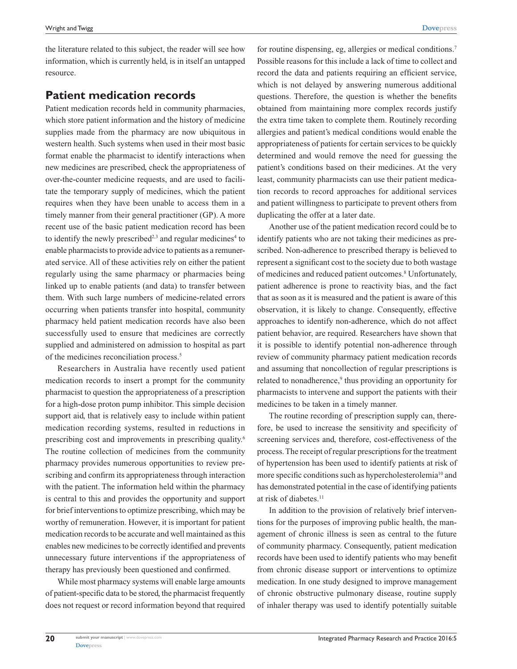the literature related to this subject, the reader will see how information, which is currently held, is in itself an untapped resource.

# **Patient medication records**

Patient medication records held in community pharmacies, which store patient information and the history of medicine supplies made from the pharmacy are now ubiquitous in western health. Such systems when used in their most basic format enable the pharmacist to identify interactions when new medicines are prescribed, check the appropriateness of over-the-counter medicine requests, and are used to facilitate the temporary supply of medicines, which the patient requires when they have been unable to access them in a timely manner from their general practitioner (GP). A more recent use of the basic patient medication record has been to identify the newly prescribed<sup> $2,3$ </sup> and regular medicines<sup>4</sup> to enable pharmacists to provide advice to patients as a remunerated service. All of these activities rely on either the patient regularly using the same pharmacy or pharmacies being linked up to enable patients (and data) to transfer between them. With such large numbers of medicine-related errors occurring when patients transfer into hospital, community pharmacy held patient medication records have also been successfully used to ensure that medicines are correctly supplied and administered on admission to hospital as part of the medicines reconciliation process.<sup>5</sup>

Researchers in Australia have recently used patient medication records to insert a prompt for the community pharmacist to question the appropriateness of a prescription for a high-dose proton pump inhibitor. This simple decision support aid, that is relatively easy to include within patient medication recording systems, resulted in reductions in prescribing cost and improvements in prescribing quality.6 The routine collection of medicines from the community pharmacy provides numerous opportunities to review prescribing and confirm its appropriateness through interaction with the patient. The information held within the pharmacy is central to this and provides the opportunity and support for brief interventions to optimize prescribing, which may be worthy of remuneration. However, it is important for patient medication records to be accurate and well maintained as this enables new medicines to be correctly identified and prevents unnecessary future interventions if the appropriateness of therapy has previously been questioned and confirmed.

While most pharmacy systems will enable large amounts of patient-specific data to be stored, the pharmacist frequently does not request or record information beyond that required

for routine dispensing, eg, allergies or medical conditions.<sup>7</sup> Possible reasons for this include a lack of time to collect and record the data and patients requiring an efficient service, which is not delayed by answering numerous additional questions. Therefore, the question is whether the benefits obtained from maintaining more complex records justify the extra time taken to complete them. Routinely recording allergies and patient's medical conditions would enable the appropriateness of patients for certain services to be quickly determined and would remove the need for guessing the patient's conditions based on their medicines. At the very least, community pharmacists can use their patient medication records to record approaches for additional services and patient willingness to participate to prevent others from duplicating the offer at a later date.

Another use of the patient medication record could be to identify patients who are not taking their medicines as prescribed. Non-adherence to prescribed therapy is believed to represent a significant cost to the society due to both wastage of medicines and reduced patient outcomes.<sup>8</sup> Unfortunately, patient adherence is prone to reactivity bias, and the fact that as soon as it is measured and the patient is aware of this observation, it is likely to change. Consequently, effective approaches to identify non-adherence, which do not affect patient behavior, are required. Researchers have shown that it is possible to identify potential non-adherence through review of community pharmacy patient medication records and assuming that noncollection of regular prescriptions is related to nonadherence,<sup>9</sup> thus providing an opportunity for pharmacists to intervene and support the patients with their medicines to be taken in a timely manner.

The routine recording of prescription supply can, therefore, be used to increase the sensitivity and specificity of screening services and, therefore, cost-effectiveness of the process. The receipt of regular prescriptions for the treatment of hypertension has been used to identify patients at risk of more specific conditions such as hypercholesterolemia<sup>10</sup> and has demonstrated potential in the case of identifying patients at risk of diabetes.<sup>11</sup>

In addition to the provision of relatively brief interventions for the purposes of improving public health, the management of chronic illness is seen as central to the future of community pharmacy. Consequently, patient medication records have been used to identify patients who may benefit from chronic disease support or interventions to optimize medication. In one study designed to improve management of chronic obstructive pulmonary disease, routine supply of inhaler therapy was used to identify potentially suitable

**20**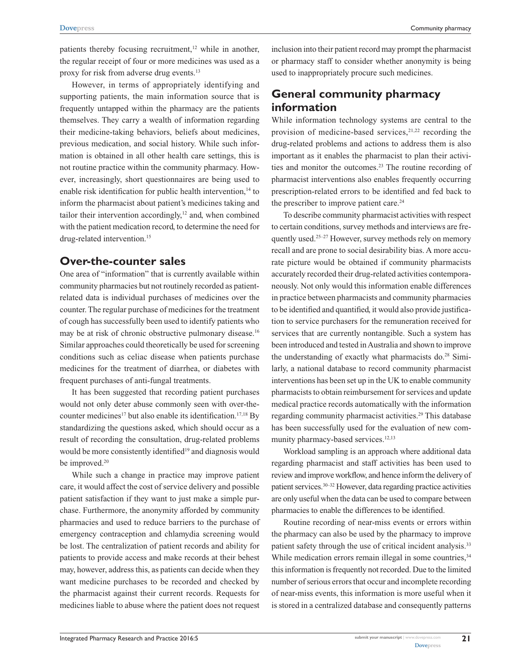patients thereby focusing recruitment,<sup>12</sup> while in another, the regular receipt of four or more medicines was used as a proxy for risk from adverse drug events.13

However, in terms of appropriately identifying and supporting patients, the main information source that is frequently untapped within the pharmacy are the patients themselves. They carry a wealth of information regarding their medicine-taking behaviors, beliefs about medicines, previous medication, and social history. While such information is obtained in all other health care settings, this is not routine practice within the community pharmacy. However, increasingly, short questionnaires are being used to enable risk identification for public health intervention,<sup>14</sup> to inform the pharmacist about patient's medicines taking and tailor their intervention accordingly, $12$  and, when combined with the patient medication record, to determine the need for drug-related intervention.<sup>15</sup>

# **Over-the-counter sales**

One area of "information" that is currently available within community pharmacies but not routinely recorded as patientrelated data is individual purchases of medicines over the counter. The regular purchase of medicines for the treatment of cough has successfully been used to identify patients who may be at risk of chronic obstructive pulmonary disease.<sup>16</sup> Similar approaches could theoretically be used for screening conditions such as celiac disease when patients purchase medicines for the treatment of diarrhea, or diabetes with frequent purchases of anti-fungal treatments.

It has been suggested that recording patient purchases would not only deter abuse commonly seen with over-thecounter medicines<sup>17</sup> but also enable its identification.<sup>17,18</sup> By standardizing the questions asked, which should occur as a result of recording the consultation, drug-related problems would be more consistently identified<sup>19</sup> and diagnosis would be improved.<sup>20</sup>

While such a change in practice may improve patient care, it would affect the cost of service delivery and possible patient satisfaction if they want to just make a simple purchase. Furthermore, the anonymity afforded by community pharmacies and used to reduce barriers to the purchase of emergency contraception and chlamydia screening would be lost. The centralization of patient records and ability for patients to provide access and make records at their behest may, however, address this, as patients can decide when they want medicine purchases to be recorded and checked by the pharmacist against their current records. Requests for medicines liable to abuse where the patient does not request

inclusion into their patient record may prompt the pharmacist or pharmacy staff to consider whether anonymity is being used to inappropriately procure such medicines.

# **General community pharmacy information**

While information technology systems are central to the provision of medicine-based services, $2^{1,22}$  recording the drug-related problems and actions to address them is also important as it enables the pharmacist to plan their activities and monitor the outcomes.23 The routine recording of pharmacist interventions also enables frequently occurring prescription-related errors to be identified and fed back to the prescriber to improve patient care.<sup>24</sup>

To describe community pharmacist activities with respect to certain conditions, survey methods and interviews are frequently used.25–27 However, survey methods rely on memory recall and are prone to social desirability bias. A more accurate picture would be obtained if community pharmacists accurately recorded their drug-related activities contemporaneously. Not only would this information enable differences in practice between pharmacists and community pharmacies to be identified and quantified, it would also provide justification to service purchasers for the remuneration received for services that are currently nontangible. Such a system has been introduced and tested in Australia and shown to improve the understanding of exactly what pharmacists do.<sup>28</sup> Similarly, a national database to record community pharmacist interventions has been set up in the UK to enable community pharmacists to obtain reimbursement for services and update medical practice records automatically with the information regarding community pharmacist activities.<sup>29</sup> This database has been successfully used for the evaluation of new community pharmacy-based services.<sup>12,13</sup>

Workload sampling is an approach where additional data regarding pharmacist and staff activities has been used to review and improve workflow, and hence inform the delivery of patient services.30–32 However, data regarding practice activities are only useful when the data can be used to compare between pharmacies to enable the differences to be identified.

Routine recording of near-miss events or errors within the pharmacy can also be used by the pharmacy to improve patient safety through the use of critical incident analysis.<sup>33</sup> While medication errors remain illegal in some countries,<sup>34</sup> this information is frequently not recorded. Due to the limited number of serious errors that occur and incomplete recording of near-miss events, this information is more useful when it is stored in a centralized database and consequently patterns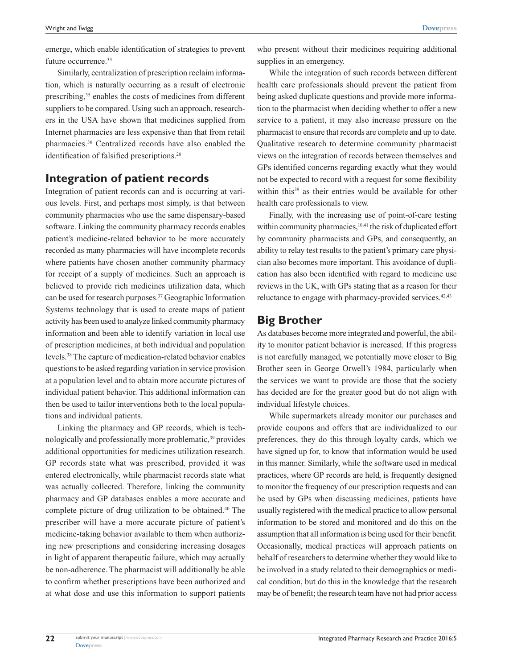emerge, which enable identification of strategies to prevent future occurrence.<sup>33</sup>

Similarly, centralization of prescription reclaim information, which is naturally occurring as a result of electronic prescribing,<sup>35</sup> enables the costs of medicines from different suppliers to be compared. Using such an approach, researchers in the USA have shown that medicines supplied from Internet pharmacies are less expensive than that from retail pharmacies.36 Centralized records have also enabled the identification of falsified prescriptions.<sup>26</sup>

## **Integration of patient records**

Integration of patient records can and is occurring at various levels. First, and perhaps most simply, is that between community pharmacies who use the same dispensary-based software. Linking the community pharmacy records enables patient's medicine-related behavior to be more accurately recorded as many pharmacies will have incomplete records where patients have chosen another community pharmacy for receipt of a supply of medicines. Such an approach is believed to provide rich medicines utilization data, which can be used for research purposes.37 Geographic Information Systems technology that is used to create maps of patient activity has been used to analyze linked community pharmacy information and been able to identify variation in local use of prescription medicines, at both individual and population levels.38 The capture of medication-related behavior enables questions to be asked regarding variation in service provision at a population level and to obtain more accurate pictures of individual patient behavior. This additional information can then be used to tailor interventions both to the local populations and individual patients.

Linking the pharmacy and GP records, which is technologically and professionally more problematic,<sup>39</sup> provides additional opportunities for medicines utilization research. GP records state what was prescribed, provided it was entered electronically, while pharmacist records state what was actually collected. Therefore, linking the community pharmacy and GP databases enables a more accurate and complete picture of drug utilization to be obtained.40 The prescriber will have a more accurate picture of patient's medicine-taking behavior available to them when authorizing new prescriptions and considering increasing dosages in light of apparent therapeutic failure, which may actually be non-adherence. The pharmacist will additionally be able to confirm whether prescriptions have been authorized and at what dose and use this information to support patients who present without their medicines requiring additional supplies in an emergency.

While the integration of such records between different health care professionals should prevent the patient from being asked duplicate questions and provide more information to the pharmacist when deciding whether to offer a new service to a patient, it may also increase pressure on the pharmacist to ensure that records are complete and up to date. Qualitative research to determine community pharmacist views on the integration of records between themselves and GPs identified concerns regarding exactly what they would not be expected to record with a request for some flexibility within this<sup>39</sup> as their entries would be available for other health care professionals to view.

Finally, with the increasing use of point-of-care testing within community pharmacies,<sup>10,41</sup> the risk of duplicated effort by community pharmacists and GPs, and consequently, an ability to relay test results to the patient's primary care physician also becomes more important. This avoidance of duplication has also been identified with regard to medicine use reviews in the UK, with GPs stating that as a reason for their reluctance to engage with pharmacy-provided services.<sup>42,43</sup>

# **Big Brother**

As databases become more integrated and powerful, the ability to monitor patient behavior is increased. If this progress is not carefully managed, we potentially move closer to Big Brother seen in George Orwell's 1984, particularly when the services we want to provide are those that the society has decided are for the greater good but do not align with individual lifestyle choices.

While supermarkets already monitor our purchases and provide coupons and offers that are individualized to our preferences, they do this through loyalty cards, which we have signed up for, to know that information would be used in this manner. Similarly, while the software used in medical practices, where GP records are held, is frequently designed to monitor the frequency of our prescription requests and can be used by GPs when discussing medicines, patients have usually registered with the medical practice to allow personal information to be stored and monitored and do this on the assumption that all information is being used for their benefit. Occasionally, medical practices will approach patients on behalf of researchers to determine whether they would like to be involved in a study related to their demographics or medical condition, but do this in the knowledge that the research may be of benefit; the research team have not had prior access

**22**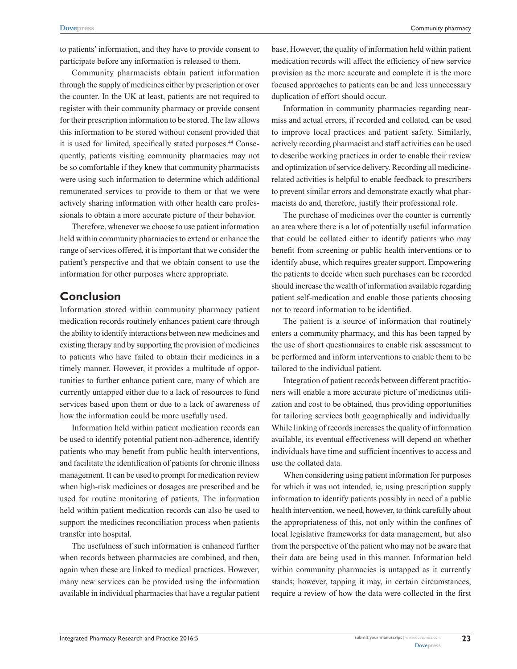to patients' information, and they have to provide consent to participate before any information is released to them.

Community pharmacists obtain patient information through the supply of medicines either by prescription or over the counter. In the UK at least, patients are not required to register with their community pharmacy or provide consent for their prescription information to be stored. The law allows this information to be stored without consent provided that it is used for limited, specifically stated purposes.<sup>44</sup> Consequently, patients visiting community pharmacies may not be so comfortable if they knew that community pharmacists were using such information to determine which additional remunerated services to provide to them or that we were actively sharing information with other health care professionals to obtain a more accurate picture of their behavior.

Therefore, whenever we choose to use patient information held within community pharmacies to extend or enhance the range of services offered, it is important that we consider the patient's perspective and that we obtain consent to use the information for other purposes where appropriate.

# **Conclusion**

Information stored within community pharmacy patient medication records routinely enhances patient care through the ability to identify interactions between new medicines and existing therapy and by supporting the provision of medicines to patients who have failed to obtain their medicines in a timely manner. However, it provides a multitude of opportunities to further enhance patient care, many of which are currently untapped either due to a lack of resources to fund services based upon them or due to a lack of awareness of how the information could be more usefully used.

Information held within patient medication records can be used to identify potential patient non-adherence, identify patients who may benefit from public health interventions, and facilitate the identification of patients for chronic illness management. It can be used to prompt for medication review when high-risk medicines or dosages are prescribed and be used for routine monitoring of patients. The information held within patient medication records can also be used to support the medicines reconciliation process when patients transfer into hospital.

The usefulness of such information is enhanced further when records between pharmacies are combined, and then, again when these are linked to medical practices. However, many new services can be provided using the information available in individual pharmacies that have a regular patient base. However, the quality of information held within patient medication records will affect the efficiency of new service provision as the more accurate and complete it is the more focused approaches to patients can be and less unnecessary duplication of effort should occur.

Information in community pharmacies regarding nearmiss and actual errors, if recorded and collated, can be used to improve local practices and patient safety. Similarly, actively recording pharmacist and staff activities can be used to describe working practices in order to enable their review and optimization of service delivery. Recording all medicinerelated activities is helpful to enable feedback to prescribers to prevent similar errors and demonstrate exactly what pharmacists do and, therefore, justify their professional role.

The purchase of medicines over the counter is currently an area where there is a lot of potentially useful information that could be collated either to identify patients who may benefit from screening or public health interventions or to identify abuse, which requires greater support. Empowering the patients to decide when such purchases can be recorded should increase the wealth of information available regarding patient self-medication and enable those patients choosing not to record information to be identified.

The patient is a source of information that routinely enters a community pharmacy, and this has been tapped by the use of short questionnaires to enable risk assessment to be performed and inform interventions to enable them to be tailored to the individual patient.

Integration of patient records between different practitioners will enable a more accurate picture of medicines utilization and cost to be obtained, thus providing opportunities for tailoring services both geographically and individually. While linking of records increases the quality of information available, its eventual effectiveness will depend on whether individuals have time and sufficient incentives to access and use the collated data.

When considering using patient information for purposes for which it was not intended, ie, using prescription supply information to identify patients possibly in need of a public health intervention, we need, however, to think carefully about the appropriateness of this, not only within the confines of local legislative frameworks for data management, but also from the perspective of the patient who may not be aware that their data are being used in this manner. Information held within community pharmacies is untapped as it currently stands; however, tapping it may, in certain circumstances, require a review of how the data were collected in the first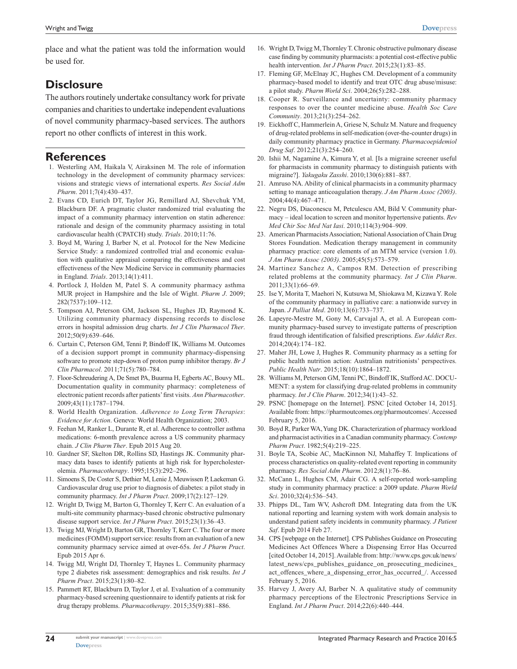place and what the patient was told the information would be used for.

## **Disclosure**

The authors routinely undertake consultancy work for private companies and charities to undertake independent evaluations of novel community pharmacy-based services. The authors report no other conflicts of interest in this work.

#### **References**

- 1. Westerling AM, Haikala V, Airaksinen M. The role of information technology in the development of community pharmacy services: visions and strategic views of international experts. *Res Social Adm Pharm*. 2011;7(4):430–437.
- 2. Evans CD, Eurich DT, Taylor JG, Remillard AJ, Shevchuk YM, Blackburn DF. A pragmatic cluster randomized trial evaluating the impact of a community pharmacy intervention on statin adherence: rationale and design of the community pharmacy assisting in total cardiovascular health (CPATCH) study. *Trials*. 2010;11:76.
- 3. Boyd M, Waring J, Barber N, et al. Protocol for the New Medicine Service Study: a randomized controlled trial and economic evaluation with qualitative appraisal comparing the effectiveness and cost effectiveness of the New Medicine Service in community pharmacies in England. *Trials*. 2013;14(1):411.
- 4. Portlock J, Holden M, Patel S. A community pharmacy asthma MUR project in Hampshire and the Isle of Wight. *Pharm J*. 2009; 282(7537):109–112.
- 5. Tompson AJ, Peterson GM, Jackson SL, Hughes JD, Raymond K. Utilizing community pharmacy dispensing records to disclose errors in hospital admission drug charts. *Int J Clin Pharmacol Ther*. 2012;50(9):639–646.
- 6. Curtain C, Peterson GM, Tenni P, Bindoff IK, Williams M. Outcomes of a decision support prompt in community pharmacy-dispensing software to promote step-down of proton pump inhibitor therapy. *Br J Clin Pharmacol*. 2011;71(5):780–784.
- 7. Floor-Schreudering A, De Smet PA, Buurma H, Egberts AC, Bouvy ML. Documentation quality in community pharmacy: completeness of electronic patient records after patients' first visits. *Ann Pharmacother*. 2009;43(11):1787–1794.
- 8. World Health Organization. *Adherence to Long Term Therapies*: *Evidence for Action*. Geneva: World Health Organization; 2003.
- 9. Feehan M, Ranker L, Durante R, et al. Adherence to controller asthma medications: 6-month prevalence across a US community pharmacy chain. *J Clin Pharm Ther*. Epub 2015 Aug 20.
- 10. Gardner SF, Skelton DR, Rollins SD, Hastings JK. Community pharmacy data bases to identify patients at high risk for hypercholesterolemia. *Pharmacotherapy*. 1995;15(3):292–296.
- 11. Simoens S, De Coster S, Dethier M, Lenie J, Meuwissen P, Laekeman G. Cardiovascular drug use prior to diagnosis of diabetes: a pilot study in community pharmacy. *Int J Pharm Pract*. 2009;17(2):127–129.
- 12. Wright D, Twigg M, Barton G, Thornley T, Kerr C. An evaluation of a multi-site community pharmacy-based chronic obstructive pulmonary disease support service. *Int J Pharm Pract*. 2015;23(1):36–43.
- 13. Twigg MJ, Wright D, Barton GR, Thornley T, Kerr C. The four or more medicines (FOMM) support service: results from an evaluation of a new community pharmacy service aimed at over-65s. *Int J Pharm Pract*. Epub 2015 Apr 6.
- 14. Twigg MJ, Wright DJ, Thornley T, Haynes L. Community pharmacy type 2 diabetes risk assessment: demographics and risk results. *Int J Pharm Pract*. 2015;23(1):80–82.
- 15. Pammett RT, Blackburn D, Taylor J, et al. Evaluation of a community pharmacy-based screening questionnaire to identify patients at risk for drug therapy problems. *Pharmacotherapy*. 2015;35(9):881–886.
- 16. Wright D, Twigg M, Thornley T. Chronic obstructive pulmonary disease case finding by community pharmacists: a potential cost-effective public health intervention. *Int J Pharm Pract*. 2015;23(1):83–85.
- 17. Fleming GF, McElnay JC, Hughes CM. Development of a community pharmacy-based model to identify and treat OTC drug abuse/misuse: a pilot study. *Pharm World Sci*. 2004;26(5):282–288.
- 18. Cooper R. Surveillance and uncertainty: community pharmacy responses to over the counter medicine abuse. *Health Soc Care Community*. 2013;21(3):254–262.
- 19. Eickhoff C, Hammerlein A, Griese N, Schulz M. Nature and frequency of drug-related problems in self-medication (over-the-counter drugs) in daily community pharmacy practice in Germany. *Pharmacoepidemiol Drug Saf*. 2012;21(3):254–260.
- 20. Ishii M, Nagamine A, Kimura Y, et al. [Is a migraine screener useful for pharmacists in community pharmacy to distinguish patients with migraine?]. *Yakugaku Zasshi*. 2010;130(6):881–887.
- 21. Amruso NA. Ability of clinical pharmacists in a community pharmacy setting to manage anticoagulation therapy. *J Am Pharm Assoc (2003)*. 2004;44(4):467–471.
- 22. Negru DS, Diaconescu M, Petculescu AM, Bild V. Community pharmacy – ideal location to screen and monitor hypertensive patients. *Rev Med Chir Soc Med Nat Iasi*. 2010;114(3):904–909.
- 23. American Pharmacists Association; National Association of Chain Drug Stores Foundation. Medication therapy management in community pharmacy practice: core elements of an MTM service (version 1.0). *J Am Pharm Assoc (2003)*. 2005;45(5):573–579.
- 24. Martinez Sanchez A, Campos RM. Detection of prescribing related problems at the community pharmacy. *Int J Clin Pharm*. 2011;33(1):66–69.
- 25. Ise Y, Morita T, Maehori N, Kutsuwa M, Shiokawa M, Kizawa Y. Role of the community pharmacy in palliative care: a nationwide survey in Japan. *J Palliat Med*. 2010;13(6):733–737.
- 26. Lapeyre-Mestre M, Gony M, Carvajal A, et al. A European community pharmacy-based survey to investigate patterns of prescription fraud through identification of falsified prescriptions. *Eur Addict Res*. 2014;20(4):174–182.
- 27. Maher JH, Lowe J, Hughes R. Community pharmacy as a setting for public health nutrition action: Australian nutritionists' perspectives. *Public Health Nutr*. 2015;18(10):1864–1872.
- 28. Williams M, Peterson GM, Tenni PC, Bindoff IK, Stafford AC. DOCU-MENT: a system for classifying drug-related problems in community pharmacy. *Int J Clin Pharm*. 2012;34(1):43–52.
- 29. PSNC [homepage on the Internet]. PSNC [cited October 14, 2015]. Available from:<https://pharmoutcomes.org/pharmoutcomes/>. Accessed February 5, 2016.
- 30. Boyd R, Parker WA, Yung DK. Characterization of pharmacy workload and pharmacist activities in a Canadian community pharmacy. *Contemp Pharm Pract*. 1982;5(4):219–225.
- 31. Boyle TA, Scobie AC, MacKinnon NJ, Mahaffey T. Implications of process characteristics on quality-related event reporting in community pharmacy. *Res Social Adm Pharm*. 2012;8(1):76–86.
- 32. McCann L, Hughes CM, Adair CG. A self-reported work-sampling study in community pharmacy practice: a 2009 update. *Pharm World Sci*. 2010;32(4):536–543.
- 33. Phipps DL, Tam WV, Ashcroft DM. Integrating data from the UK national reporting and learning system with work domain analysis to understand patient safety incidents in community pharmacy. *J Patient Saf*. Epub 2014 Feb 27.
- 34. CPS [webpage on the Internet]. CPS Publishes Guidance on Prosecuting Medicines Act Offences Where a Dispensing Error Has Occurred [cited October 14, 2015]. Available from: [http://www.cps.gov.uk/news/](http://www.cps.gov.uk/news/latest_news/cps_publishes_guidance_on_prosecuting_medicines_act_offences_where_a_dispensing_error_has_occurred_/) [latest\\_news/cps\\_publishes\\_guidance\\_on\\_prosecuting\\_medicines\\_](http://www.cps.gov.uk/news/latest_news/cps_publishes_guidance_on_prosecuting_medicines_act_offences_where_a_dispensing_error_has_occurred_/) [act\\_offences\\_where\\_a\\_dispensing\\_error\\_has\\_occurred\\_/.](http://www.cps.gov.uk/news/latest_news/cps_publishes_guidance_on_prosecuting_medicines_act_offences_where_a_dispensing_error_has_occurred_/) Accessed February 5, 2016.
- 35. Harvey J, Avery AJ, Barber N. A qualitative study of community pharmacy perceptions of the Electronic Prescriptions Service in England. *Int J Pharm Pract*. 2014;22(6):440–444.

**24**